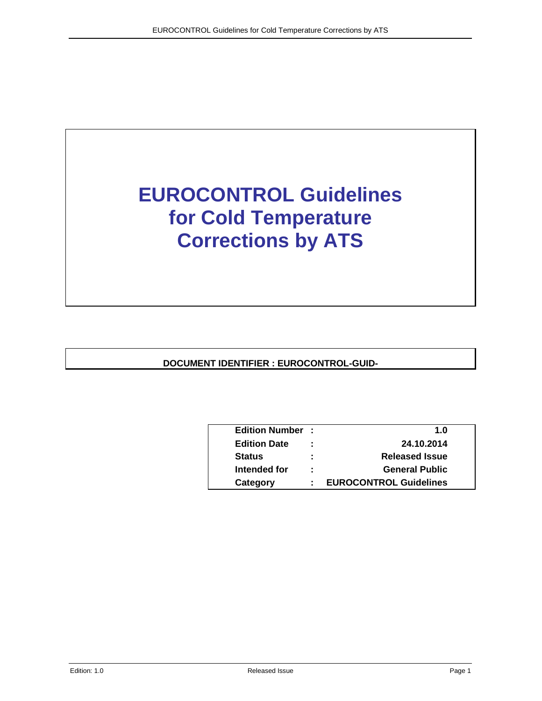# **EUROCONTROL Guidelines for Cold Temperature Corrections by ATS**

**DOCUMENT IDENTIFIER : EUROCONTROL-GUID-**

| <b>Edition Number:</b> |   | 1.0                           |  |
|------------------------|---|-------------------------------|--|
| <b>Edition Date</b>    |   | 24.10.2014                    |  |
| <b>Status</b>          | ÷ | <b>Released Issue</b>         |  |
| Intended for           | ٠ | <b>General Public</b>         |  |
| Category               |   | <b>EUROCONTROL Guidelines</b> |  |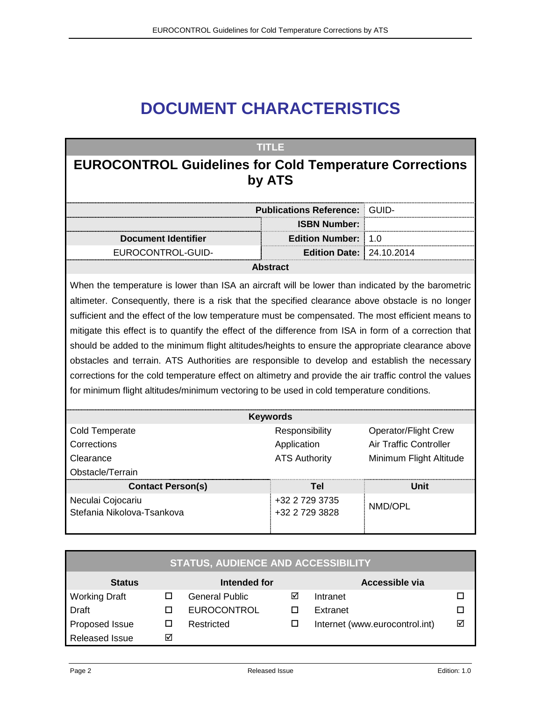# **DOCUMENT CHARACTERISTICS**

| <b>TITLE</b>                                                                                                                                                                                                                                                                                                                                                                                                                                                                                                                                                                                                                                                                                                                                                                                                                        |                                                      |                             |  |  |  |  |  |  |
|-------------------------------------------------------------------------------------------------------------------------------------------------------------------------------------------------------------------------------------------------------------------------------------------------------------------------------------------------------------------------------------------------------------------------------------------------------------------------------------------------------------------------------------------------------------------------------------------------------------------------------------------------------------------------------------------------------------------------------------------------------------------------------------------------------------------------------------|------------------------------------------------------|-----------------------------|--|--|--|--|--|--|
| <b>EUROCONTROL Guidelines for Cold Temperature Corrections</b><br>by ATS                                                                                                                                                                                                                                                                                                                                                                                                                                                                                                                                                                                                                                                                                                                                                            |                                                      |                             |  |  |  |  |  |  |
| <b>Publications Reference:</b><br>GUID-                                                                                                                                                                                                                                                                                                                                                                                                                                                                                                                                                                                                                                                                                                                                                                                             |                                                      |                             |  |  |  |  |  |  |
|                                                                                                                                                                                                                                                                                                                                                                                                                                                                                                                                                                                                                                                                                                                                                                                                                                     | <b>ISBN Number:</b>                                  |                             |  |  |  |  |  |  |
| <b>Document Identifier</b>                                                                                                                                                                                                                                                                                                                                                                                                                                                                                                                                                                                                                                                                                                                                                                                                          | <b>Edition Number:</b>                               | 1.0                         |  |  |  |  |  |  |
| EUROCONTROL-GUID-                                                                                                                                                                                                                                                                                                                                                                                                                                                                                                                                                                                                                                                                                                                                                                                                                   | <b>Edition Date:</b>                                 | 24.10.2014                  |  |  |  |  |  |  |
|                                                                                                                                                                                                                                                                                                                                                                                                                                                                                                                                                                                                                                                                                                                                                                                                                                     | <b>Abstract</b>                                      |                             |  |  |  |  |  |  |
| When the temperature is lower than ISA an aircraft will be lower than indicated by the barometric<br>altimeter. Consequently, there is a risk that the specified clearance above obstacle is no longer<br>sufficient and the effect of the low temperature must be compensated. The most efficient means to<br>mitigate this effect is to quantify the effect of the difference from ISA in form of a correction that<br>should be added to the minimum flight altitudes/heights to ensure the appropriate clearance above<br>obstacles and terrain. ATS Authorities are responsible to develop and establish the necessary<br>corrections for the cold temperature effect on altimetry and provide the air traffic control the values<br>for minimum flight altitudes/minimum vectoring to be used in cold temperature conditions. |                                                      |                             |  |  |  |  |  |  |
|                                                                                                                                                                                                                                                                                                                                                                                                                                                                                                                                                                                                                                                                                                                                                                                                                                     | <b>Keywords</b>                                      |                             |  |  |  |  |  |  |
| <b>Cold Temperate</b>                                                                                                                                                                                                                                                                                                                                                                                                                                                                                                                                                                                                                                                                                                                                                                                                               | Responsibility                                       | <b>Operator/Flight Crew</b> |  |  |  |  |  |  |
|                                                                                                                                                                                                                                                                                                                                                                                                                                                                                                                                                                                                                                                                                                                                                                                                                                     | Air Traffic Controller<br>Corrections<br>Application |                             |  |  |  |  |  |  |
| Clearance<br><b>ATS Authority</b><br>Minimum Flight Altitude                                                                                                                                                                                                                                                                                                                                                                                                                                                                                                                                                                                                                                                                                                                                                                        |                                                      |                             |  |  |  |  |  |  |
| Obstacle/Terrain                                                                                                                                                                                                                                                                                                                                                                                                                                                                                                                                                                                                                                                                                                                                                                                                                    |                                                      |                             |  |  |  |  |  |  |
| <b>Contact Person(s)</b>                                                                                                                                                                                                                                                                                                                                                                                                                                                                                                                                                                                                                                                                                                                                                                                                            | <b>Tel</b>                                           | Unit                        |  |  |  |  |  |  |
| Neculai Cojocariu<br>Stefania Nikolova-Tsankova                                                                                                                                                                                                                                                                                                                                                                                                                                                                                                                                                                                                                                                                                                                                                                                     | +32 2 729 3735<br>+32 2 729 3828                     | NMD/OPL                     |  |  |  |  |  |  |

| <b>STATUS, AUDIENCE AND ACCESSIBILITY</b>       |   |                       |   |                                |   |  |  |  |  |
|-------------------------------------------------|---|-----------------------|---|--------------------------------|---|--|--|--|--|
| <b>Status</b><br>Intended for<br>Accessible via |   |                       |   |                                |   |  |  |  |  |
| <b>Working Draft</b>                            |   | <b>General Public</b> | ☑ | Intranet                       |   |  |  |  |  |
| <b>Draft</b>                                    |   | <b>EUROCONTROL</b>    |   | Extranet                       |   |  |  |  |  |
| Proposed Issue                                  |   | Restricted            |   | Internet (www.eurocontrol.int) | ☑ |  |  |  |  |
| <b>Released Issue</b>                           | ⊠ |                       |   |                                |   |  |  |  |  |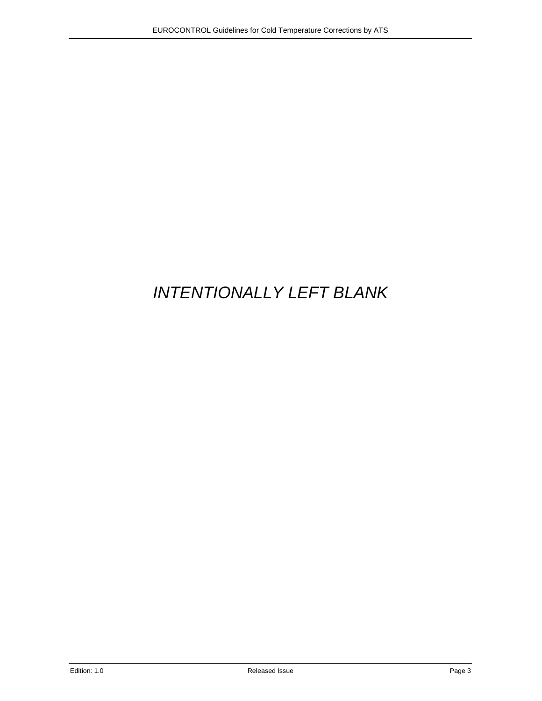# INTENTIONALLY LEFT BLANK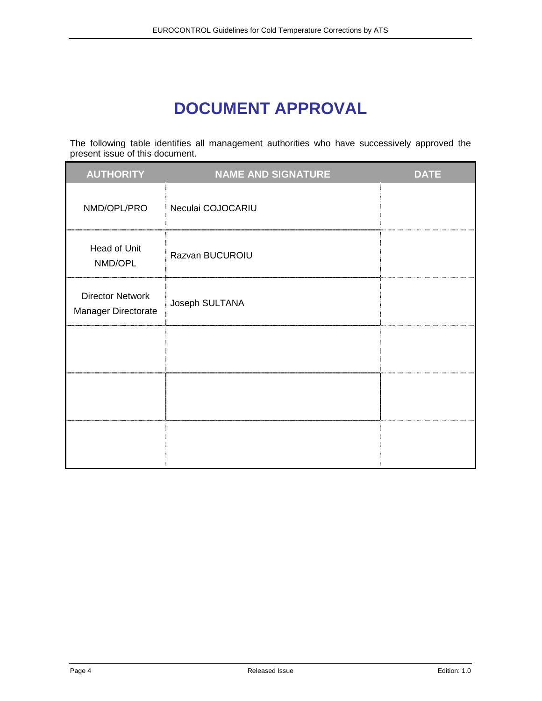# **DOCUMENT APPROVAL**

The following table identifies all management authorities who have successively approved the present issue of this document.

| <b>AUTHORITY</b>                               | <b>NAME AND SIGNATURE</b> | <b>DATE</b> |
|------------------------------------------------|---------------------------|-------------|
| NMD/OPL/PRO                                    | Neculai COJOCARIU         |             |
| Head of Unit<br>NMD/OPL                        | Razvan BUCUROIU           |             |
| <b>Director Network</b><br>Manager Directorate | Joseph SULTANA            |             |
|                                                |                           |             |
|                                                |                           |             |
|                                                |                           |             |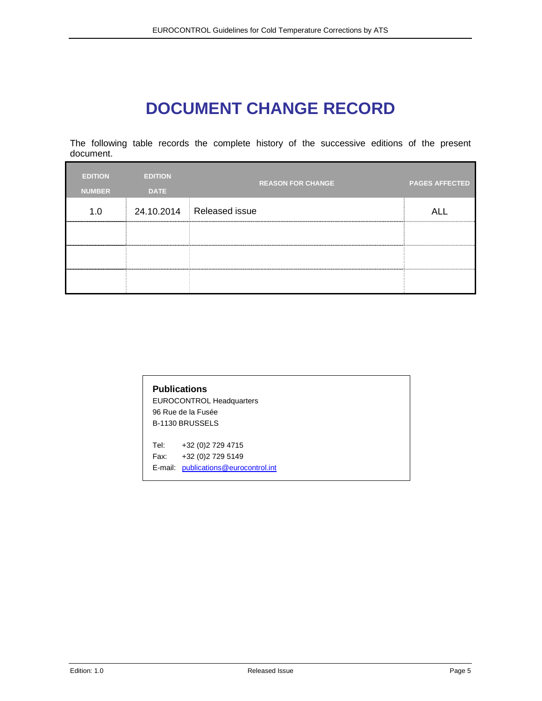# **DOCUMENT CHANGE RECORD**

The following table records the complete history of the successive editions of the present document.

| <b>EDITION</b><br><b>NUMBER</b> | <b>EDITION</b><br><b>DATE</b> | <b>REASON FOR CHANGE</b>  | <b>PAGES AFFECTED</b> |
|---------------------------------|-------------------------------|---------------------------|-----------------------|
| 1.0                             |                               | 24.10.2014 Released issue | AI I                  |
|                                 |                               |                           |                       |
|                                 |                               |                           |                       |
|                                 |                               |                           |                       |

|      | <b>Publications</b>                  |
|------|--------------------------------------|
|      | <b>EUROCONTROL Headquarters</b>      |
|      | 96 Rue de la Fusée                   |
|      | <b>B-1130 BRUSSELS</b>               |
|      |                                      |
| Tel: | +32 (0) 2729 4715                    |
| Fax: | +32 (0)2 729 5149                    |
|      | E-mail: publications@eurocontrol.int |
|      |                                      |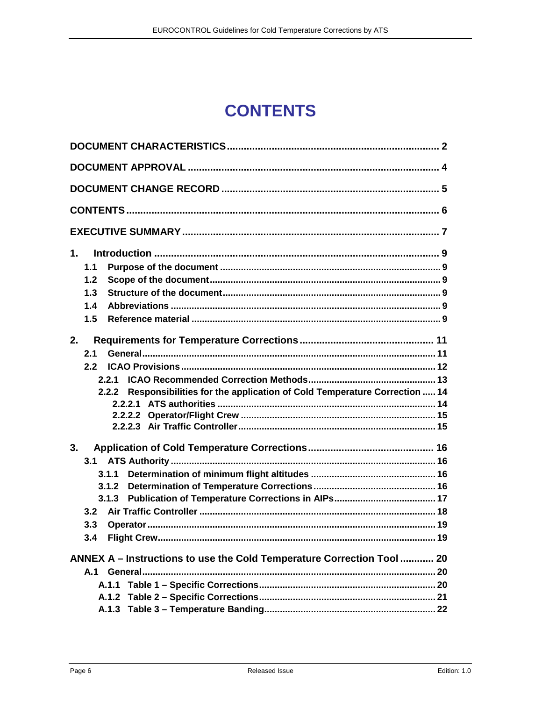# **CONTENTS**

| $\mathbf 1$ .                                                                    |
|----------------------------------------------------------------------------------|
| 1.1                                                                              |
| 1.2                                                                              |
| 1.3                                                                              |
| 1.4                                                                              |
| 1.5                                                                              |
|                                                                                  |
| 2.                                                                               |
| 2.1                                                                              |
| 2.2                                                                              |
|                                                                                  |
| Responsibilities for the application of Cold Temperature Correction  14<br>2.2.2 |
|                                                                                  |
|                                                                                  |
|                                                                                  |
| 3.                                                                               |
|                                                                                  |
| 3.1.1                                                                            |
| 3.1.2                                                                            |
| 3.1.3                                                                            |
|                                                                                  |
| 3.3                                                                              |
|                                                                                  |
| ANNEX A – Instructions to use the Cold Temperature Correction Tool  20           |
|                                                                                  |
|                                                                                  |
|                                                                                  |
|                                                                                  |
|                                                                                  |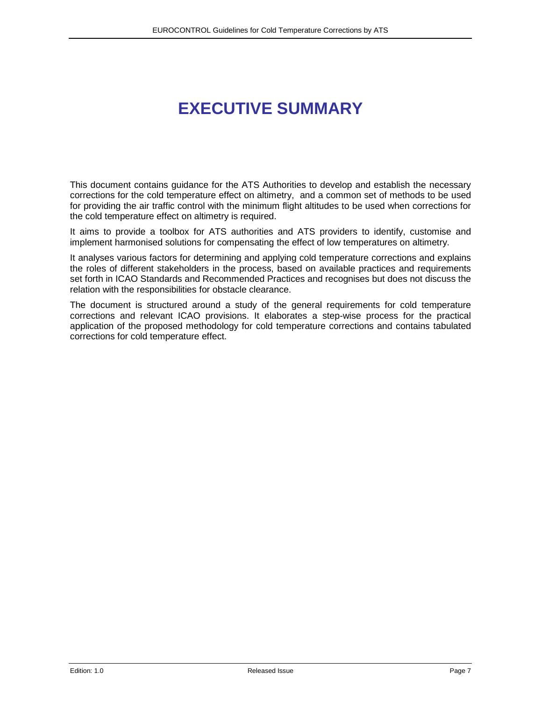# **EXECUTIVE SUMMARY**

This document contains guidance for the ATS Authorities to develop and establish the necessary corrections for the cold temperature effect on altimetry, and a common set of methods to be used for providing the air traffic control with the minimum flight altitudes to be used when corrections for the cold temperature effect on altimetry is required.

It aims to provide a toolbox for ATS authorities and ATS providers to identify, customise and implement harmonised solutions for compensating the effect of low temperatures on altimetry.

It analyses various factors for determining and applying cold temperature corrections and explains the roles of different stakeholders in the process, based on available practices and requirements set forth in ICAO Standards and Recommended Practices and recognises but does not discuss the relation with the responsibilities for obstacle clearance.

The document is structured around a study of the general requirements for cold temperature corrections and relevant ICAO provisions. It elaborates a step-wise process for the practical application of the proposed methodology for cold temperature corrections and contains tabulated corrections for cold temperature effect.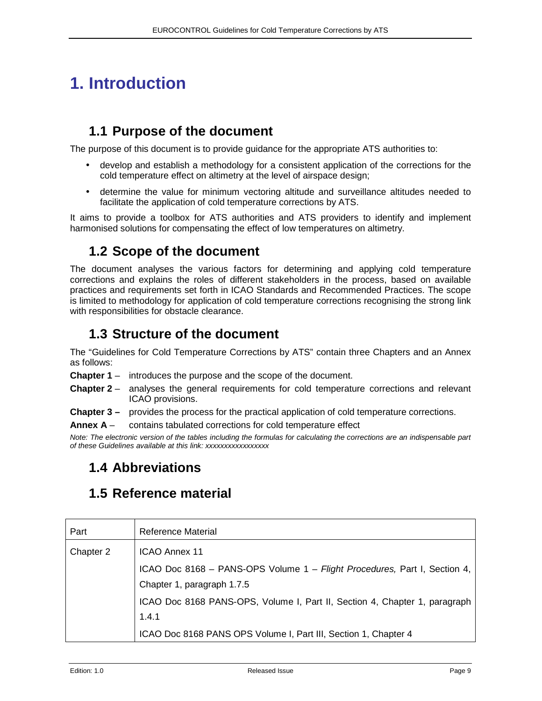## **1. Introduction**

## **1.1 Purpose of the document**

The purpose of this document is to provide guidance for the appropriate ATS authorities to:

- develop and establish a methodology for a consistent application of the corrections for the cold temperature effect on altimetry at the level of airspace design;
- determine the value for minimum vectoring altitude and surveillance altitudes needed to facilitate the application of cold temperature corrections by ATS.

It aims to provide a toolbox for ATS authorities and ATS providers to identify and implement harmonised solutions for compensating the effect of low temperatures on altimetry.

## **1.2 Scope of the document**

The document analyses the various factors for determining and applying cold temperature corrections and explains the roles of different stakeholders in the process, based on available practices and requirements set forth in ICAO Standards and Recommended Practices. The scope is limited to methodology for application of cold temperature corrections recognising the strong link with responsibilities for obstacle clearance.

### **1.3 Structure of the document**

The "Guidelines for Cold Temperature Corrections by ATS" contain three Chapters and an Annex as follows:

- **Chapter 1** introduces the purpose and the scope of the document.
- **Chapter 2**  analyses the general requirements for cold temperature corrections and relevant ICAO provisions.
- **Chapter 3** provides the process for the practical application of cold temperature corrections.

**Annex A** – contains tabulated corrections for cold temperature effect

Note: The electronic version of the tables including the formulas for calculating the corrections are an indispensable part of these Guidelines available at this link: xxxxxxxxxxxxxxxxx

## **1.4 Abbreviations**

## **1.5 Reference material**

| Part      | Reference Material                                                         |
|-----------|----------------------------------------------------------------------------|
| Chapter 2 | <b>ICAO Annex 11</b>                                                       |
|           | ICAO Doc 8168 - PANS-OPS Volume 1 - Flight Procedures, Part I, Section 4,  |
|           | Chapter 1, paragraph 1.7.5                                                 |
|           | ICAO Doc 8168 PANS-OPS, Volume I, Part II, Section 4, Chapter 1, paragraph |
|           | 1.4.1                                                                      |
|           | ICAO Doc 8168 PANS OPS Volume I, Part III, Section 1, Chapter 4            |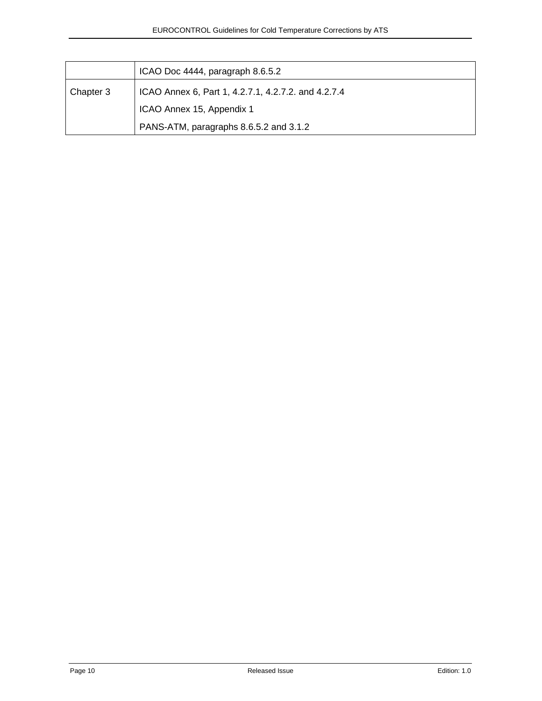|           | ICAO Doc 4444, paragraph 8.6.5.2                    |
|-----------|-----------------------------------------------------|
| Chapter 3 | ICAO Annex 6, Part 1, 4.2.7.1, 4.2.7.2. and 4.2.7.4 |
|           | ICAO Annex 15, Appendix 1                           |
|           | PANS-ATM, paragraphs 8.6.5.2 and 3.1.2              |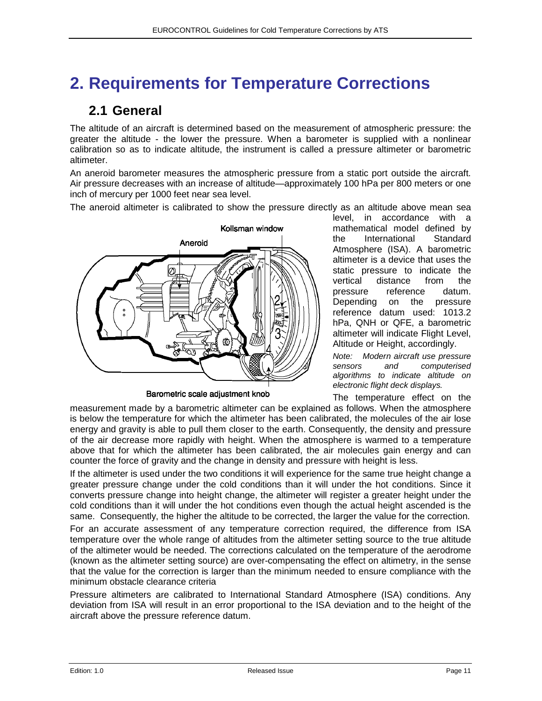## **2. Requirements for Temperature Corrections**

## **2.1 General**

The altitude of an aircraft is determined based on the measurement of atmospheric pressure: the greater the altitude - the lower the pressure. When a barometer is supplied with a nonlinear calibration so as to indicate altitude, the instrument is called a pressure altimeter or barometric altimeter.

An aneroid barometer measures the atmospheric pressure from a static port outside the aircraft. Air pressure decreases with an increase of altitude—approximately 100 hPa per 800 meters or one inch of mercury per 1000 feet near sea level.

The aneroid altimeter is calibrated to show the pressure directly as an altitude above mean sea



Barometric scale adjustment knob

level, in accordance with a mathematical model defined by the International Standard Atmosphere (ISA). A barometric altimeter is a device that uses the static pressure to indicate the vertical distance from the pressure reference datum. Depending on the pressure reference datum used: 1013.2 hPa, QNH or QFE, a barometric altimeter will indicate Flight Level, Altitude or Height, accordingly.

Note: Modern aircraft use pressure sensors and computerised algorithms to indicate altitude on electronic flight deck displays.

The temperature effect on the

measurement made by a barometric altimeter can be explained as follows. When the atmosphere is below the temperature for which the altimeter has been calibrated, the molecules of the air lose energy and gravity is able to pull them closer to the earth. Consequently, the density and pressure of the air decrease more rapidly with height. When the atmosphere is warmed to a temperature above that for which the altimeter has been calibrated, the air molecules gain energy and can counter the force of gravity and the change in density and pressure with height is less.

If the altimeter is used under the two conditions it will experience for the same true height change a greater pressure change under the cold conditions than it will under the hot conditions. Since it converts pressure change into height change, the altimeter will register a greater height under the cold conditions than it will under the hot conditions even though the actual height ascended is the same. Consequently, the higher the altitude to be corrected, the larger the value for the correction.

For an accurate assessment of any temperature correction required, the difference from ISA temperature over the whole range of altitudes from the altimeter setting source to the true altitude of the altimeter would be needed. The corrections calculated on the temperature of the aerodrome (known as the altimeter setting source) are over-compensating the effect on altimetry, in the sense that the value for the correction is larger than the minimum needed to ensure compliance with the minimum obstacle clearance criteria

Pressure altimeters are calibrated to International Standard Atmosphere (ISA) conditions. Any deviation from ISA will result in an error proportional to the ISA deviation and to the height of the aircraft above the pressure reference datum.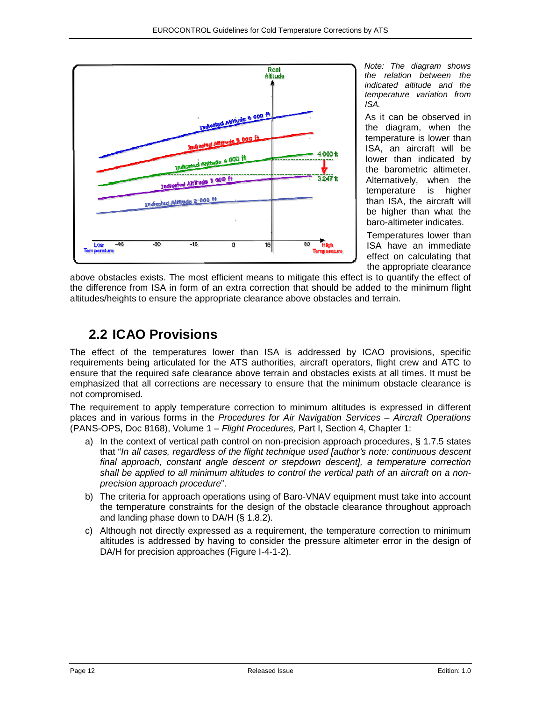

Note: The diagram shows the relation between the indicated altitude and the temperature variation from ISA.

As it can be observed in the diagram, when the temperature is lower than ISA, an aircraft will be lower than indicated by the barometric altimeter. Alternatively, when the temperature is higher than ISA, the aircraft will be higher than what the baro-altimeter indicates.

Temperatures lower than ISA have an immediate effect on calculating that the appropriate clearance

above obstacles exists. The most efficient means to mitigate this effect is to quantify the effect of the difference from ISA in form of an extra correction that should be added to the minimum flight altitudes/heights to ensure the appropriate clearance above obstacles and terrain.

## **2.2 ICAO Provisions**

The effect of the temperatures lower than ISA is addressed by ICAO provisions, specific requirements being articulated for the ATS authorities, aircraft operators, flight crew and ATC to ensure that the required safe clearance above terrain and obstacles exists at all times. It must be emphasized that all corrections are necessary to ensure that the minimum obstacle clearance is not compromised.

The requirement to apply temperature correction to minimum altitudes is expressed in different places and in various forms in the Procedures for Air Navigation Services – Aircraft Operations (PANS-OPS, Doc 8168), Volume 1 – Flight Procedures, Part I, Section 4, Chapter 1:

- a) In the context of vertical path control on non-precision approach procedures, § 1.7.5 states that "In all cases, regardless of the flight technique used [author's note: continuous descent final approach, constant angle descent or stepdown descent], a temperature correction shall be applied to all minimum altitudes to control the vertical path of an aircraft on a nonprecision approach procedure".
- b) The criteria for approach operations using of Baro-VNAV equipment must take into account the temperature constraints for the design of the obstacle clearance throughout approach and landing phase down to DA/H (§ 1.8.2).
- c) Although not directly expressed as a requirement, the temperature correction to minimum altitudes is addressed by having to consider the pressure altimeter error in the design of DA/H for precision approaches (Figure I-4-1-2).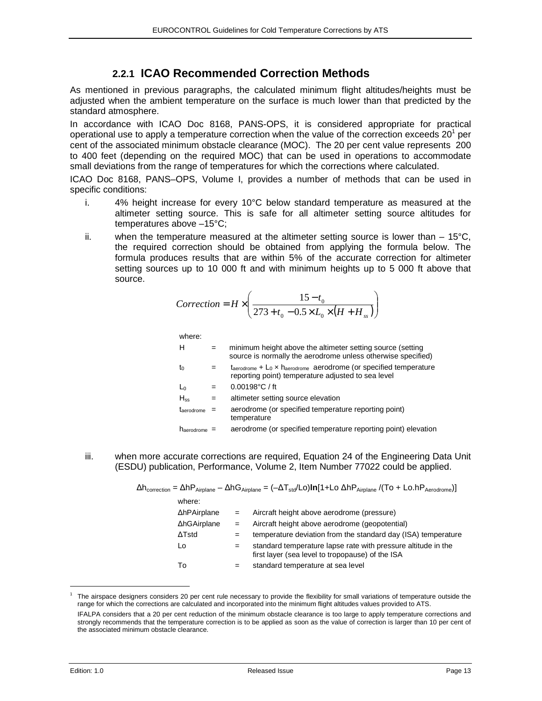#### **2.2.1 ICAO Recommended Correction Methods**

As mentioned in previous paragraphs, the calculated minimum flight altitudes/heights must be adjusted when the ambient temperature on the surface is much lower than that predicted by the standard atmosphere.

In accordance with ICAO Doc 8168, PANS-OPS, it is considered appropriate for practical operational use to apply a temperature correction when the value of the correction exceeds 20<sup>1</sup> per cent of the associated minimum obstacle clearance (MOC). The 20 per cent value represents 200 to 400 feet (depending on the required MOC) that can be used in operations to accommodate small deviations from the range of temperatures for which the corrections where calculated.

ICAO Doc 8168, PANS–OPS, Volume I, provides a number of methods that can be used in specific conditions:

- i. 4% height increase for every 10°C below standard temperature as measured at the altimeter setting source. This is safe for all altimeter setting source altitudes for temperatures above –15°C;
- ii. when the temperature measured at the altimeter setting source is lower than  $-15^{\circ}$ C, the required correction should be obtained from applying the formula below. The formula produces results that are within 5% of the accurate correction for altimeter setting sources up to 10 000 ft and with minimum heights up to 5 000 ft above that source.

$$
Correction = H \times \left( \frac{15 - t_0}{273 + t_0 - 0.5 \times L_0 \times (H + H_{ss})} \right)
$$

where:

| H          |     | minimum height above the altimeter setting source (setting<br>source is normally the aerodrome unless otherwise specified)                         |
|------------|-----|----------------------------------------------------------------------------------------------------------------------------------------------------|
| $t_0$      | =   | $t_{\text{aerodrome}} + L_0 \times h_{\text{aerodrome}}$ aerodrome (or specified temperature<br>reporting point) temperature adjusted to sea level |
| $L_0$      |     | $0.00198$ °C / ft                                                                                                                                  |
| $H_{ss}$   | $=$ | altimeter setting source elevation                                                                                                                 |
| taerodrome | $=$ | aerodrome (or specified temperature reporting point)<br>temperature                                                                                |
| haerodrome |     | aerodrome (or specified temperature reporting point) elevation                                                                                     |

iii. when more accurate corrections are required, Equation 24 of the Engineering Data Unit (ESDU) publication, Performance, Volume 2, Item Number 77022 could be applied.

|               |     | $\Delta h_{\rm correction} = \Delta h P_{\rm Airplane} - \Delta h G_{\rm Airplane} = (-\Delta T_{\rm std}/Lo) \ln[1+Lo \Delta h P_{\rm Airplane}]/(To + Lo.h P_{\rm Aerodrome})]$ |
|---------------|-----|-----------------------------------------------------------------------------------------------------------------------------------------------------------------------------------|
| where:        |     |                                                                                                                                                                                   |
| ΔhPAirplane   |     | Aircraft height above aerodrome (pressure)                                                                                                                                        |
| ∆hGAirplane   | $=$ | Aircraft height above aerodrome (geopotential)                                                                                                                                    |
| $\Delta$ Tstd |     | temperature deviation from the standard day (ISA) temperature                                                                                                                     |
| Lo            | $=$ | standard temperature lapse rate with pressure altitude in the<br>first layer (sea level to tropopause) of the ISA                                                                 |
| To            | =   | standard temperature at sea level                                                                                                                                                 |

<sup>1</sup> The airspace designers considers 20 per cent rule necessary to provide the flexibility for small variations of temperature outside the range for which the corrections are calculated and incorporated into the minimum flight altitudes values provided to ATS. IFALPA considers that a 20 per cent reduction of the minimum obstacle clearance is too large to apply temperature corrections and

l

strongly recommends that the temperature correction is to be applied as soon as the value of correction is larger than 10 per cent of the associated minimum obstacle clearance.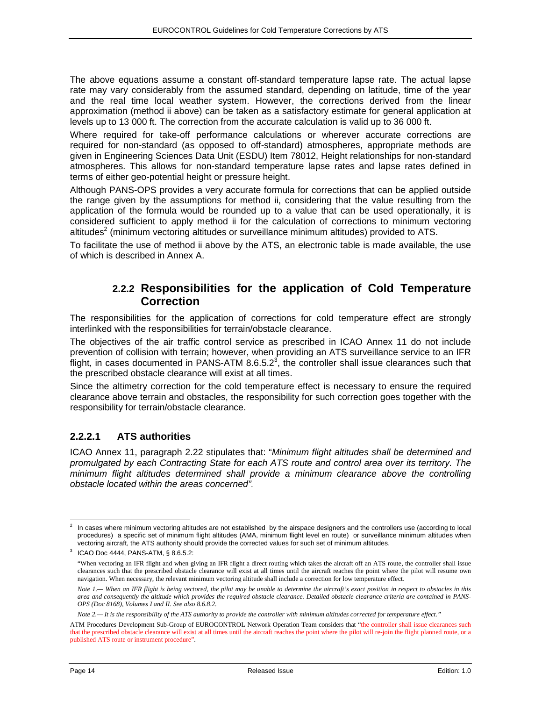The above equations assume a constant off-standard temperature lapse rate. The actual lapse rate may vary considerably from the assumed standard, depending on latitude, time of the year and the real time local weather system. However, the corrections derived from the linear approximation (method ii above) can be taken as a satisfactory estimate for general application at levels up to 13 000 ft. The correction from the accurate calculation is valid up to 36 000 ft.

Where required for take-off performance calculations or wherever accurate corrections are required for non-standard (as opposed to off-standard) atmospheres, appropriate methods are given in Engineering Sciences Data Unit (ESDU) Item 78012, Height relationships for non-standard atmospheres. This allows for non-standard temperature lapse rates and lapse rates defined in terms of either geo-potential height or pressure height.

Although PANS-OPS provides a very accurate formula for corrections that can be applied outside the range given by the assumptions for method ii, considering that the value resulting from the application of the formula would be rounded up to a value that can be used operationally, it is considered sufficient to apply method ii for the calculation of corrections to minimum vectoring altitudes<sup>2</sup> (minimum vectoring altitudes or surveillance minimum altitudes) provided to ATS.

To facilitate the use of method ii above by the ATS, an electronic table is made available, the use of which is described in Annex A.

#### **2.2.2 Responsibilities for the application of Cold Temperature Correction**

The responsibilities for the application of corrections for cold temperature effect are strongly interlinked with the responsibilities for terrain/obstacle clearance.

The objectives of the air traffic control service as prescribed in ICAO Annex 11 do not include prevention of collision with terrain; however, when providing an ATS surveillance service to an IFR flight, in cases documented in PANS-ATM 8.6.5.2<sup>3</sup>, the controller shall issue clearances such that the prescribed obstacle clearance will exist at all times.

Since the altimetry correction for the cold temperature effect is necessary to ensure the required clearance above terrain and obstacles, the responsibility for such correction goes together with the responsibility for terrain/obstacle clearance.

#### **2.2.2.1 ATS authorities**

ICAO Annex 11, paragraph 2.22 stipulates that: "Minimum flight altitudes shall be determined and promulgated by each Contracting State for each ATS route and control area over its territory. The minimum flight altitudes determined shall provide a minimum clearance above the controlling obstacle located within the areas concerned".

 $\overline{a}$ 2 In cases where minimum vectoring altitudes are not established by the airspace designers and the controllers use (according to local procedures) a specific set of minimum flight altitudes (AMA, minimum flight level en route) or surveillance minimum altitudes when vectoring aircraft, the ATS authority should provide the corrected values for such set of minimum altitudes.

 $3$  ICAO Doc 4444, PANS-ATM, § 8.6.5.2:

<sup>&</sup>quot;When vectoring an IFR flight and when giving an IFR flight a direct routing which takes the aircraft off an ATS route, the controller shall issue clearances such that the prescribed obstacle clearance will exist at all times until the aircraft reaches the point where the pilot will resume own navigation. When necessary, the relevant minimum vectoring altitude shall include a correction for low temperature effect.

*Note 1.— When an IFR flight is being vectored, the pilot may be unable to determine the aircraft's exact position in respect to obstacles in this area and consequently the altitude which provides the required obstacle clearance. Detailed obstacle clearance criteria are contained in PANS-OPS (Doc 8168), Volumes I and II. See also 8.6.8.2.*

*Note 2.— It is the responsibility of the ATS authority to provide the controller with minimum altitudes corrected for temperature effect."* 

ATM Procedures Development Sub-Group of EUROCONTROL Network Operation Team considers that "the controller shall issue clearances such that the prescribed obstacle clearance will exist at all times until the aircraft reaches the point where the pilot will re-join the flight planned route, or a published ATS route or instrument procedure".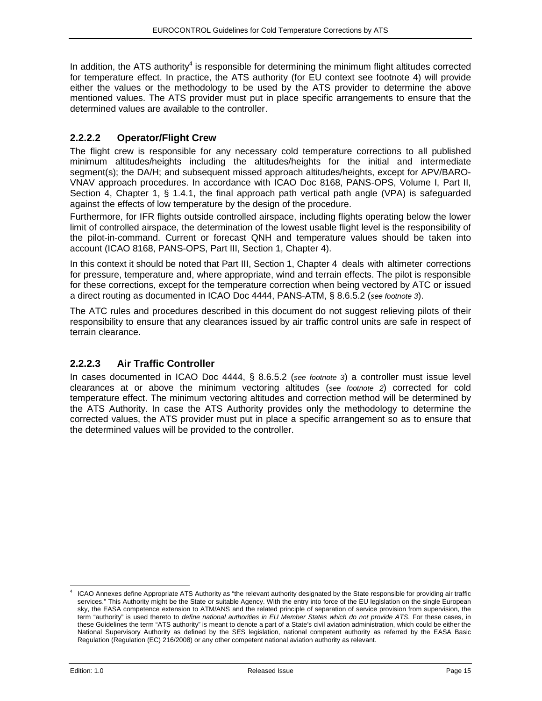In addition, the ATS authority<sup>4</sup> is responsible for determining the minimum flight altitudes corrected for temperature effect. In practice, the ATS authority (for EU context see footnote 4) will provide either the values or the methodology to be used by the ATS provider to determine the above mentioned values. The ATS provider must put in place specific arrangements to ensure that the determined values are available to the controller.

#### **2.2.2.2 Operator/Flight Crew**

The flight crew is responsible for any necessary cold temperature corrections to all published minimum altitudes/heights including the altitudes/heights for the initial and intermediate segment(s); the DA/H; and subsequent missed approach altitudes/heights, except for APV/BARO-VNAV approach procedures. In accordance with ICAO Doc 8168, PANS-OPS, Volume I, Part II, Section 4, Chapter 1, § 1.4.1, the final approach path vertical path angle (VPA) is safeguarded against the effects of low temperature by the design of the procedure.

Furthermore, for IFR flights outside controlled airspace, including flights operating below the lower limit of controlled airspace, the determination of the lowest usable flight level is the responsibility of the pilot-in-command. Current or forecast QNH and temperature values should be taken into account (ICAO 8168, PANS-OPS, Part III, Section 1, Chapter 4).

In this context it should be noted that Part III, Section 1, Chapter 4 deals with altimeter corrections for pressure, temperature and, where appropriate, wind and terrain effects. The pilot is responsible for these corrections, except for the temperature correction when being vectored by ATC or issued a direct routing as documented in ICAO Doc 4444, PANS-ATM, § 8.6.5.2 (see footnote 3).

The ATC rules and procedures described in this document do not suggest relieving pilots of their responsibility to ensure that any clearances issued by air traffic control units are safe in respect of terrain clearance.

#### **2.2.2.3 Air Traffic Controller**

In cases documented in ICAO Doc 4444, § 8.6.5.2 (see footnote 3) a controller must issue level clearances at or above the minimum vectoring altitudes (see footnote 2) corrected for cold temperature effect. The minimum vectoring altitudes and correction method will be determined by the ATS Authority. In case the ATS Authority provides only the methodology to determine the corrected values, the ATS provider must put in place a specific arrangement so as to ensure that the determined values will be provided to the controller.

 $\overline{a}$ 4 ICAO Annexes define Appropriate ATS Authority as "the relevant authority designated by the State responsible for providing air traffic services." This Authority might be the State or suitable Agency. With the entry into force of the EU legislation on the single European sky, the EASA competence extension to ATM/ANS and the related principle of separation of service provision from supervision, the term "authority" is used thereto to define national authorities in EU Member States which do not provide ATS. For these cases, in these Guidelines the term "ATS authority" is meant to denote a part of a State's civil aviation administration, which could be either the National Supervisory Authority as defined by the SES legislation, national competent authority as referred by the EASA Basic Regulation (Regulation (EC) 216/2008) or any other competent national aviation authority as relevant.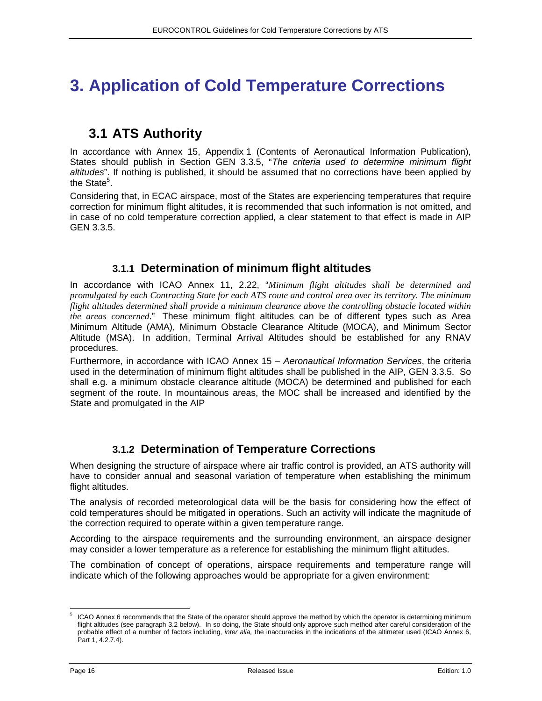## **3. Application of Cold Temperature Corrections**

## **3.1 ATS Authority**

In accordance with Annex 15, Appendix 1 (Contents of Aeronautical Information Publication), States should publish in Section GEN 3.3.5, "The criteria used to determine minimum flight altitudes". If nothing is published, it should be assumed that no corrections have been applied by the State<sup>5</sup>.

Considering that, in ECAC airspace, most of the States are experiencing temperatures that require correction for minimum flight altitudes, it is recommended that such information is not omitted, and in case of no cold temperature correction applied, a clear statement to that effect is made in AIP GEN 3.3.5.

#### **3.1.1 Determination of minimum flight altitudes**

In accordance with ICAO Annex 11, 2.22, "*Minimum flight altitudes shall be determined and promulgated by each Contracting State for each ATS route and control area over its territory. The minimum flight altitudes determined shall provide a minimum clearance above the controlling obstacle located within the areas concerned*." These minimum flight altitudes can be of different types such as Area Minimum Altitude (AMA), Minimum Obstacle Clearance Altitude (MOCA), and Minimum Sector Altitude (MSA). In addition, Terminal Arrival Altitudes should be established for any RNAV procedures.

Furthermore, in accordance with ICAO Annex 15 – Aeronautical Information Services, the criteria used in the determination of minimum flight altitudes shall be published in the AIP, GEN 3.3.5. So shall e.g. a minimum obstacle clearance altitude (MOCA) be determined and published for each segment of the route. In mountainous areas, the MOC shall be increased and identified by the State and promulgated in the AIP

### **3.1.2 Determination of Temperature Corrections**

When designing the structure of airspace where air traffic control is provided, an ATS authority will have to consider annual and seasonal variation of temperature when establishing the minimum flight altitudes.

The analysis of recorded meteorological data will be the basis for considering how the effect of cold temperatures should be mitigated in operations. Such an activity will indicate the magnitude of the correction required to operate within a given temperature range.

According to the airspace requirements and the surrounding environment, an airspace designer may consider a lower temperature as a reference for establishing the minimum flight altitudes.

The combination of concept of operations, airspace requirements and temperature range will indicate which of the following approaches would be appropriate for a given environment:

 $\overline{a}$ 5 ICAO Annex 6 recommends that the State of the operator should approve the method by which the operator is determining minimum flight altitudes (see paragraph 3.2 below). In so doing, the State should only approve such method after careful consideration of the probable effect of a number of factors including, *inter alia*, the inaccuracies in the indications of the altimeter used (ICAO Annex 6, Part 1, 4.2.7.4).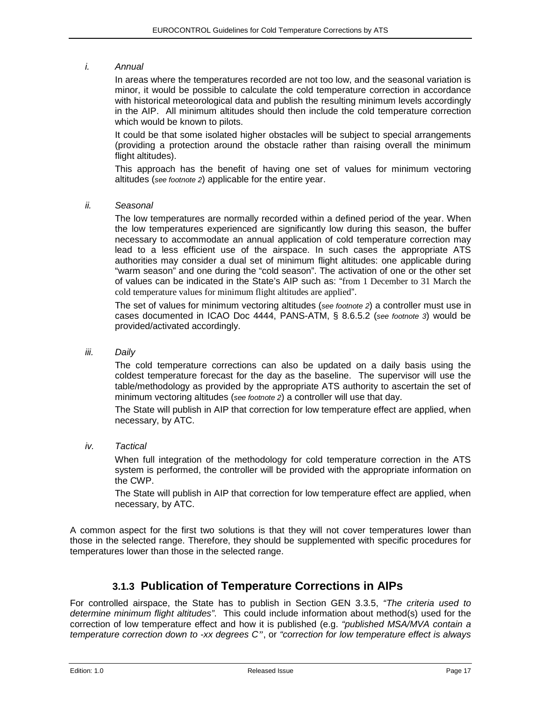#### i. Annual

In areas where the temperatures recorded are not too low, and the seasonal variation is minor, it would be possible to calculate the cold temperature correction in accordance with historical meteorological data and publish the resulting minimum levels accordingly in the AIP. All minimum altitudes should then include the cold temperature correction which would be known to pilots.

It could be that some isolated higher obstacles will be subject to special arrangements (providing a protection around the obstacle rather than raising overall the minimum flight altitudes).

This approach has the benefit of having one set of values for minimum vectoring altitudes (see footnote 2) applicable for the entire year.

#### ii. Seasonal

The low temperatures are normally recorded within a defined period of the year. When the low temperatures experienced are significantly low during this season, the buffer necessary to accommodate an annual application of cold temperature correction may lead to a less efficient use of the airspace. In such cases the appropriate ATS authorities may consider a dual set of minimum flight altitudes: one applicable during "warm season" and one during the "cold season". The activation of one or the other set of values can be indicated in the State's AIP such as: "from 1 December to 31 March the cold temperature values for minimum flight altitudes are applied".

The set of values for minimum vectoring altitudes (see footnote 2) a controller must use in cases documented in ICAO Doc 4444, PANS-ATM, § 8.6.5.2 (see footnote 3) would be provided/activated accordingly.

#### iii. Daily

The cold temperature corrections can also be updated on a daily basis using the coldest temperature forecast for the day as the baseline. The supervisor will use the table/methodology as provided by the appropriate ATS authority to ascertain the set of minimum vectoring altitudes (see footnote 2) a controller will use that day.

The State will publish in AIP that correction for low temperature effect are applied, when necessary, by ATC.

iv. Tactical

When full integration of the methodology for cold temperature correction in the ATS system is performed, the controller will be provided with the appropriate information on the CWP.

The State will publish in AIP that correction for low temperature effect are applied, when necessary, by ATC.

A common aspect for the first two solutions is that they will not cover temperatures lower than those in the selected range. Therefore, they should be supplemented with specific procedures for temperatures lower than those in the selected range.

#### **3.1.3 Publication of Temperature Corrections in AIPs**

For controlled airspace, the State has to publish in Section GEN 3.3.5, "The criteria used to determine minimum flight altitudes". This could include information about method(s) used for the correction of low temperature effect and how it is published (e.g. "published MSA/MVA contain a temperature correction down to -xx degrees C*"*, or "correction for low temperature effect is always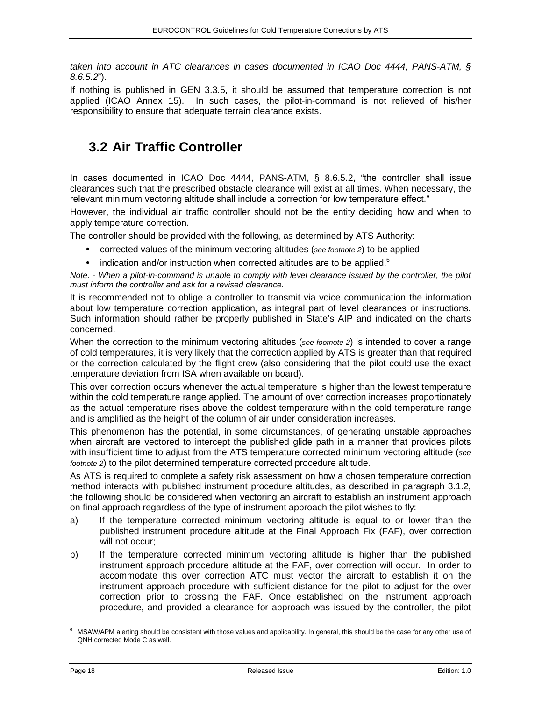taken into account in ATC clearances in cases documented in ICAO Doc 4444, PANS-ATM, § 8.6.5.2").

If nothing is published in GEN 3.3.5, it should be assumed that temperature correction is not applied (ICAO Annex 15). In such cases, the pilot-in-command is not relieved of his/her responsibility to ensure that adequate terrain clearance exists.

## **3.2 Air Traffic Controller**

In cases documented in ICAO Doc 4444, PANS-ATM, § 8.6.5.2, "the controller shall issue clearances such that the prescribed obstacle clearance will exist at all times. When necessary, the relevant minimum vectoring altitude shall include a correction for low temperature effect."

However, the individual air traffic controller should not be the entity deciding how and when to apply temperature correction.

The controller should be provided with the following, as determined by ATS Authority:

- corrected values of the minimum vectoring altitudes (see footnote  $2$ ) to be applied
- indication and/or instruction when corrected altitudes are to be applied. $6$

Note. - When a pilot-in-command is unable to comply with level clearance issued by the controller, the pilot must inform the controller and ask for a revised clearance.

It is recommended not to oblige a controller to transmit via voice communication the information about low temperature correction application, as integral part of level clearances or instructions. Such information should rather be properly published in State's AIP and indicated on the charts concerned.

When the correction to the minimum vectoring altitudes (see footnote 2) is intended to cover a range of cold temperatures, it is very likely that the correction applied by ATS is greater than that required or the correction calculated by the flight crew (also considering that the pilot could use the exact temperature deviation from ISA when available on board).

This over correction occurs whenever the actual temperature is higher than the lowest temperature within the cold temperature range applied. The amount of over correction increases proportionately as the actual temperature rises above the coldest temperature within the cold temperature range and is amplified as the height of the column of air under consideration increases.

This phenomenon has the potential, in some circumstances, of generating unstable approaches when aircraft are vectored to intercept the published glide path in a manner that provides pilots with insufficient time to adjust from the ATS temperature corrected minimum vectoring altitude (see footnote 2) to the pilot determined temperature corrected procedure altitude.

As ATS is required to complete a safety risk assessment on how a chosen temperature correction method interacts with published instrument procedure altitudes, as described in paragraph 3.1.2, the following should be considered when vectoring an aircraft to establish an instrument approach on final approach regardless of the type of instrument approach the pilot wishes to fly:

- a) If the temperature corrected minimum vectoring altitude is equal to or lower than the published instrument procedure altitude at the Final Approach Fix (FAF), over correction will not occur;
- b) If the temperature corrected minimum vectoring altitude is higher than the published instrument approach procedure altitude at the FAF, over correction will occur. In order to accommodate this over correction ATC must vector the aircraft to establish it on the instrument approach procedure with sufficient distance for the pilot to adjust for the over correction prior to crossing the FAF. Once established on the instrument approach procedure, and provided a clearance for approach was issued by the controller, the pilot

l

<sup>6</sup> MSAW/APM alerting should be consistent with those values and applicability. In general, this should be the case for any other use of QNH corrected Mode C as well.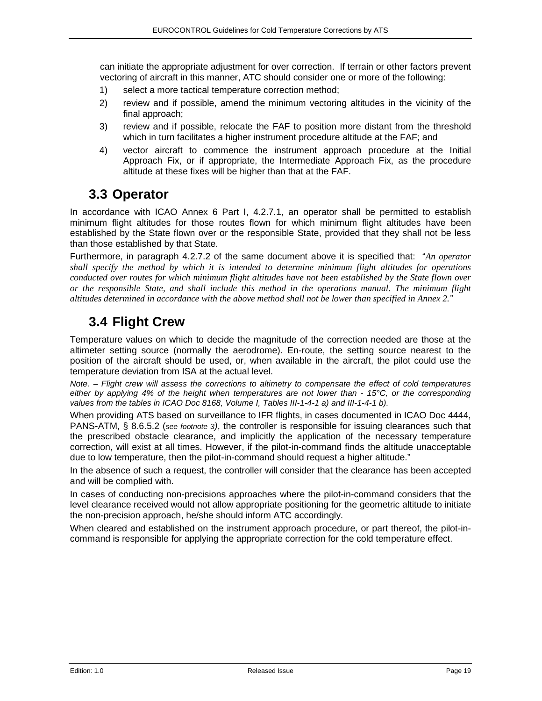can initiate the appropriate adjustment for over correction. If terrain or other factors prevent vectoring of aircraft in this manner, ATC should consider one or more of the following:

- 1) select a more tactical temperature correction method;
- 2) review and if possible, amend the minimum vectoring altitudes in the vicinity of the final approach;
- 3) review and if possible, relocate the FAF to position more distant from the threshold which in turn facilitates a higher instrument procedure altitude at the FAF; and
- 4) vector aircraft to commence the instrument approach procedure at the Initial Approach Fix, or if appropriate, the Intermediate Approach Fix, as the procedure altitude at these fixes will be higher than that at the FAF.

## **3.3 Operator**

In accordance with ICAO Annex 6 Part I, 4.2.7.1, an operator shall be permitted to establish minimum flight altitudes for those routes flown for which minimum flight altitudes have been established by the State flown over or the responsible State, provided that they shall not be less than those established by that State.

Furthermore, in paragraph 4.2.7.2 of the same document above it is specified that: "*An operator shall specify the method by which it is intended to determine minimum flight altitudes for operations conducted over routes for which minimum flight altitudes have not been established by the State flown over or the responsible State, and shall include this method in the operations manual. The minimum flight altitudes determined in accordance with the above method shall not be lower than specified in Annex 2.*"

## **3.4 Flight Crew**

Temperature values on which to decide the magnitude of the correction needed are those at the altimeter setting source (normally the aerodrome). En-route, the setting source nearest to the position of the aircraft should be used, or, when available in the aircraft, the pilot could use the temperature deviation from ISA at the actual level.

Note. – Flight crew will assess the corrections to altimetry to compensate the effect of cold temperatures either by applying 4% of the height when temperatures are not lower than - 15°C, or the corresponding values from the tables in ICAO Doc 8168, Volume I, Tables III-1-4-1 a) and III-1-4-1 b).

When providing ATS based on surveillance to IFR flights, in cases documented in ICAO Doc 4444, PANS-ATM, § 8.6.5.2 (see footnote 3), the controller is responsible for issuing clearances such that the prescribed obstacle clearance, and implicitly the application of the necessary temperature correction, will exist at all times. However, if the pilot-in-command finds the altitude unacceptable due to low temperature, then the pilot-in-command should request a higher altitude."

In the absence of such a request, the controller will consider that the clearance has been accepted and will be complied with.

In cases of conducting non-precisions approaches where the pilot-in-command considers that the level clearance received would not allow appropriate positioning for the geometric altitude to initiate the non-precision approach, he/she should inform ATC accordingly.

When cleared and established on the instrument approach procedure, or part thereof, the pilot-incommand is responsible for applying the appropriate correction for the cold temperature effect.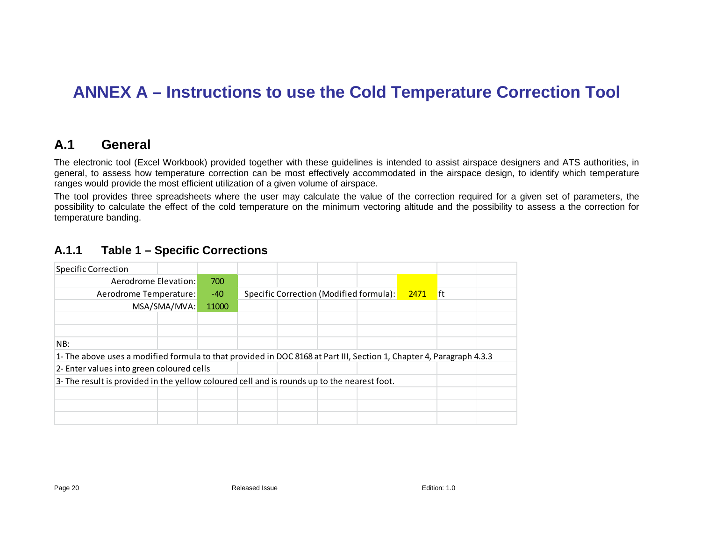## **ANNEX A – Instructions to use the Cold Temperature Correction Tool**

## **A.1 General**

The electronic tool (Excel Workbook) provided together with these guidelines is intended to assist airspace designers and ATS authorities, in general, to assess how temperature correction can be most effectively accommodated in the airspace design, to identify which temperature ranges would provide the most efficient utilization of a given volume of airspace.

The tool provides three spreadsheets where the user may calculate the value of the correction required for a given set of parameters, the possibility to calculate the effect of the cold temperature on the minimum vectoring altitude and the possibility to assess a the correction for temperature banding.

### **A.1.1 Table 1 – Specific Corrections**

| <b>Specific Correction</b>                                                                                           |              |       |  |                                         |      |             |  |
|----------------------------------------------------------------------------------------------------------------------|--------------|-------|--|-----------------------------------------|------|-------------|--|
| Aerodrome Elevation:                                                                                                 |              | 700   |  |                                         |      |             |  |
| Aerodrome Temperature:                                                                                               |              | $-40$ |  | Specific Correction (Modified formula): | 2471 | <u>l</u> ft |  |
|                                                                                                                      | MSA/SMA/MVA: | 11000 |  |                                         |      |             |  |
|                                                                                                                      |              |       |  |                                         |      |             |  |
|                                                                                                                      |              |       |  |                                         |      |             |  |
| NB:                                                                                                                  |              |       |  |                                         |      |             |  |
| 1- The above uses a modified formula to that provided in DOC 8168 at Part III, Section 1, Chapter 4, Paragraph 4.3.3 |              |       |  |                                         |      |             |  |
| 2- Enter values into green coloured cells                                                                            |              |       |  |                                         |      |             |  |
| 3- The result is provided in the yellow coloured cell and is rounds up to the nearest foot.                          |              |       |  |                                         |      |             |  |
|                                                                                                                      |              |       |  |                                         |      |             |  |
|                                                                                                                      |              |       |  |                                         |      |             |  |
|                                                                                                                      |              |       |  |                                         |      |             |  |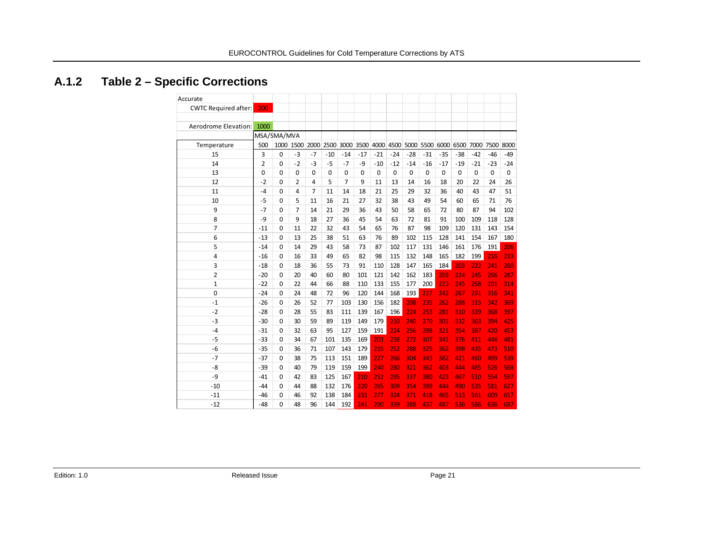## **A.1.2 Table 2 – Specific Corrections**

| Accurate                    |                |             |                |      |       |                                    |       |       |             |          |             |       |                          |             |             |             |
|-----------------------------|----------------|-------------|----------------|------|-------|------------------------------------|-------|-------|-------------|----------|-------------|-------|--------------------------|-------------|-------------|-------------|
| <b>CWTC Required after:</b> | 200            |             |                |      |       |                                    |       |       |             |          |             |       |                          |             |             |             |
|                             |                |             |                |      |       |                                    |       |       |             |          |             |       |                          |             |             |             |
| Aerodrome Elevation:        | 1000           |             |                |      |       |                                    |       |       |             |          |             |       |                          |             |             |             |
|                             | MSA/SMA/MVA    |             |                |      |       |                                    |       |       |             |          |             |       |                          |             |             |             |
| Temperature                 | 500            |             |                |      |       | 1000 1500 2000 2500 3000 3500 4000 |       |       |             |          |             |       | 4500 5000 5500 6000 6500 | 7000        |             | 7500 8000   |
| 15                          | 3              | 0           | $-3$           | $-7$ | $-10$ | $-14$                              | $-17$ | $-21$ | $-24$       | $-28$    | $-31$       | $-35$ | $-38$                    | $-42$       | $-46$       | $-49$       |
| 14                          | $\overline{2}$ | $\Omega$    | $-2$           | $-3$ | $-5$  | $-7$                               | -9    | $-10$ | $-12$       | $-14$    | $-16$       | $-17$ | $-19$                    | $-21$       | $-23$       | $-24$       |
| 13                          | $\Omega$       | 0           | 0              | 0    | 0     | 0                                  | 0     | 0     | $\mathbf 0$ | $\Omega$ | $\mathbf 0$ | 0     | $\mathbf 0$              | $\mathbf 0$ | $\mathbf 0$ | $\mathbf 0$ |
| 12                          | $-2$           | $\Omega$    | $\overline{2}$ | 4    | 5     | 7                                  | 9     | 11    | 13          | 14       | 16          | 18    | 20                       | 22          | 24          | 26          |
| 11                          | -4             | 0           | 4              | 7    | 11    | 14                                 | 18    | 21    | 25          | 29       | 32          | 36    | 40                       | 43          | 47          | 51          |
| 10                          | $-5$           | 0           | 5              | 11   | 16    | 21                                 | 27    | 32    | 38          | 43       | 49          | 54    | 60                       | 65          | 71          | 76          |
| 9                           | $-7$           | 0           | 7              | 14   | 21    | 29                                 | 36    | 43    | 50          | 58       | 65          | 72    | 80                       | 87          | 94          | 102         |
| 8                           | -9             | $\Omega$    | 9              | 18   | 27    | 36                                 | 45    | 54    | 63          | 72       | 81          | 91    | 100                      | 109         | 118         | 128         |
| 7                           | $-11$          | $\Omega$    | 11             | 22   | 32    | 43                                 | 54    | 65    | 76          | 87       | 98          | 109   | 120                      | 131         | 143         | 154         |
| 6                           | $-13$          | $\mathbf 0$ | 13             | 25   | 38    | 51                                 | 63    | 76    | 89          | 102      | 115         | 128   | 141                      | 154         | 167         | 180         |
| 5                           | $-14$          | $\Omega$    | 14             | 29   | 43    | 58                                 | 73    | 87    | 102         | 117      | 131         | 146   | 161                      | 176         | 191         | 206         |
| 4                           | $-16$          | 0           | 16             | 33   | 49    | 65                                 | 82    | 98    | 115         | 132      | 148         | 165   | 182                      | 199         | 216         | 233         |
| 3                           | $-18$          | 0           | 18             | 36   | 55    | 73                                 | 91    | 110   | 128         | 147      | 165         | 184   | 203                      | 222         | 241         | 260         |
| $\overline{2}$              | $-20$          | $\Omega$    | 20             | 40   | 60    | 80                                 | 101   | 121   | 142         | 162      | 183         | 203   | 224                      | 245         | 266         | 287         |
| $\mathbf{1}$                | $-22$          | $\Omega$    | 22             | 44   | 66    | 88                                 | 110   | 133   | 155         | 177      | 200         | 223   | 245                      | 268         | 291         | 314         |
| $\mathbf 0$                 | $-24$          | $\Omega$    | 24             | 48   | 72    | 96                                 | 120   | 144   | 168         | 193      | 217         | 242   | 267                      | 291         | 316         | 341         |
| $-1$                        | $-26$          | $\Omega$    | 26             | 52   | 77    | 103                                | 130   | 156   | 182         | 208      | 235         | 262   | 288                      | 315         | 342         | 369         |
| $-2$                        | $-28$          | $\Omega$    | 28             | 55   | 83    | 111                                | 139   | 167   | 196         | 224      | 253         | 281   | 310                      | 339         | 368         | 397         |
| $-3$                        | $-30$          | 0           | 30             | 59   | 89    | 119                                | 149   | 179   | 210         | 240      | 270         | 301   | 332                      | 363         | 394         | 425         |
| $-4$                        | $-31$          | $\Omega$    | 32             | 63   | 95    | 127                                | 159   | 191   | 224         | 256      | 288         | 321   | 354                      | 387         | 420         | 453         |
| $-5$                        | $-33$          | $\Omega$    | 34             | 67   | 101   | 135                                | 169   | 203   | 238         | 272      | 307         | 341   | 376                      | 411         | 446         | 481         |
| $-6$                        | $-35$          | $\mathbf 0$ | 36             | 71   | 107   | 143                                | 179   | 215   | 252         | 288      | 325         | 362   | 398                      | 435         | 473         | 510         |
| $-7$                        | $-37$          | $\Omega$    | 38             | 75   | 113   | 151                                | 189   | 227   | 266         | 304      | 343         | 382   | 421                      | 460         | 499         | 539         |
| $-8$                        | $-39$          | 0           | 40             | 79   | 119   | 159                                | 199   | 240   | 280         | 321      | 362         | 403   | 444                      | 485         | 526         | 568         |
| $-9$                        | $-41$          | 0           | 42             | 83   | 125   | 167                                | 210   | 252   | 295         | 337      | 380         | 423   | 467                      | 510         | 554         | 597         |
| $-10$                       | $-44$          | $\Omega$    | 44             | 88   | 132   | 176                                | 220   | 265   | 309         | 354      | 399         | 444   | 490                      | 535         | 581         | 627         |
| $-11$                       | $-46$          | $\Omega$    | 46             | 92   | 138   | 184                                | 231   | 277   | 324         | 371      | 418         | 465   | 513                      | 561         | 609         | 657         |
| $-12$                       | $-48$          | $\Omega$    | 48             | 96   | 144   | 192                                | 241   | 290   | 339         | 388      | 437         | 487   | 536                      | 586         | 636         | 687         |